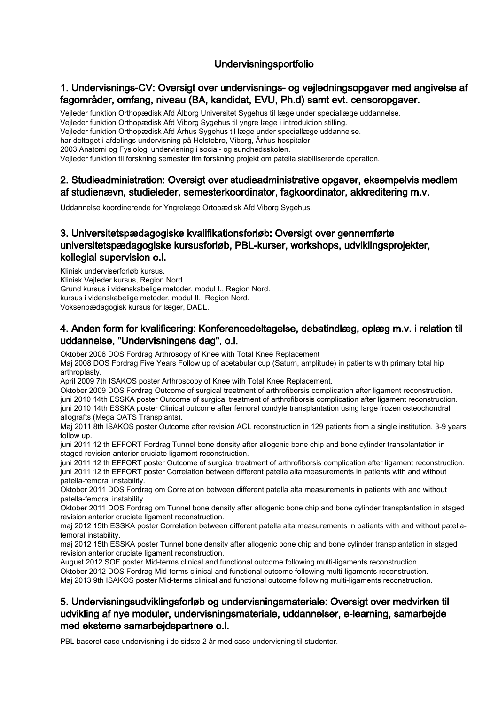## Undervisningsportfolio

### 1. Undervisnings-CV: Oversigt over undervisnings- og vejledningsopgaver med angivelse af fagområder, omfang, niveau (BA, kandidat, EVU, Ph.d) samt evt. censoropgaver.

Vejleder funktion Orthopædisk Afd Ålborg Universitet Sygehus til læge under speciallæge uddannelse.

Vejleder funktion Orthopædisk Afd Viborg Sygehus til yngre læge i introduktion stilling.

Vejleder funktion Orthopædisk Afd Århus Sygehus til læge under speciallæge uddannelse.

har deltaget i afdelings undervisning på Holstebro, Viborg, Århus hospitaler.

2003 Anatomi og Fysiologi undervisning i social- og sundhedsskolen.

Vejleder funktion til forskning semester ifm forskning projekt om patella stabiliserende operation.

#### 2. Studieadministration: Oversigt over studieadministrative opgaver, eksempelvis medlem af studienævn, studieleder, semesterkoordinator, fagkoordinator, akkreditering m.v.

Uddannelse koordinerende for Yngrelæge Ortopædisk Afd Viborg Sygehus.

## 3. Universitetspædagogiske kvalifikationsforløb: Oversigt over gennemførte universitetspædagogiske kursusforløb, PBL-kurser, workshops, udviklingsprojekter, kollegial supervision o.l.

Klinisk underviserforløb kursus. Klinisk Vejleder kursus, Region Nord. Grund kursus i videnskabelige metoder, modul I., Region Nord. kursus i videnskabelige metoder, modul II., Region Nord. Voksenpædagogisk kursus for læger, DADL.

### 4. Anden form for kvalificering: Konferencedeltagelse, debatindlæg, oplæg m.v. i relation til uddannelse, "Undervisningens dag", o.l.

Oktober 2006 DOS Fordrag Arthrosopy of Knee with Total Knee Replacement Maj 2008 DOS Fordrag Five Years Follow up of acetabular cup (Saturn, amplitude) in patients with primary total hip arthroplasty.

April 2009 7th ISAKOS poster Arthroscopy of Knee with Total Knee Replacement.

Oktober 2009 DOS Fordrag Outcome of surgical treatment of arthrofiborsis complication after ligament reconstruction. juni 2010 14th ESSKA poster Outcome of surgical treatment of arthrofiborsis complication after ligament reconstruction. juni 2010 14th ESSKA poster Clinical outcome after femoral condyle transplantation using large frozen osteochondral allografts (Mega OATS Transplants).

Maj 2011 8th ISAKOS poster Outcome after revision ACL reconstruction in 129 patients from a single institution. 3-9 years follow up.

juni 2011 12 th EFFORT Fordrag Tunnel bone density after allogenic bone chip and bone cylinder transplantation in staged revision anterior cruciate ligament reconstruction.

juni 2011 12 th EFFORT poster Outcome of surgical treatment of arthrofiborsis complication after ligament reconstruction. juni 2011 12 th EFFORT poster Correlation between different patella alta measurements in patients with and without patella-femoral instability.

Oktober 2011 DOS Fordrag om Correlation between different patella alta measurements in patients with and without patella-femoral instability.

Oktober 2011 DOS Fordrag om Tunnel bone density after allogenic bone chip and bone cylinder transplantation in staged revision anterior cruciate ligament reconstruction.

maj 2012 15th ESSKA poster Correlation between different patella alta measurements in patients with and without patellafemoral instability.

maj 2012 15th ESSKA poster Tunnel bone density after allogenic bone chip and bone cylinder transplantation in staged revision anterior cruciate ligament reconstruction.

August 2012 SOF poster Mid-terms clinical and functional outcome following multi-ligaments reconstruction. Oktober 2012 DOS Fordrag Mid-terms clinical and functional outcome following multi-ligaments reconstruction. Maj 2013 9th ISAKOS poster Mid-terms clinical and functional outcome following multi-ligaments reconstruction.

## 5. Undervisningsudviklingsforløb og undervisningsmateriale: Oversigt over medvirken til udvikling af nye moduler, undervisningsmateriale, uddannelser, e-learning, samarbejde med eksterne samarbejdspartnere o.l.

PBL baseret case undervisning i de sidste 2 år med case undervisning til studenter.